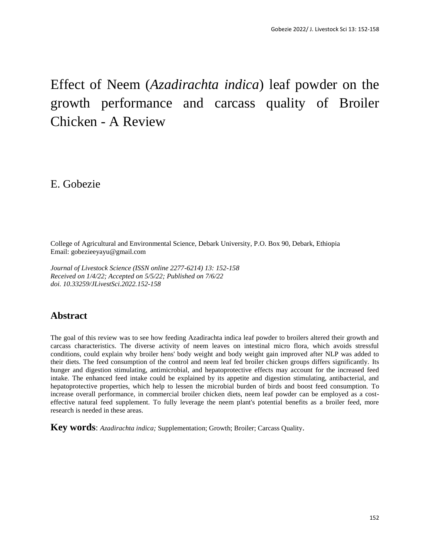# Effect of Neem (*Azadirachta indica*) leaf powder on the growth performance and carcass quality of Broiler Chicken - A Review

E. Gobezie

College of Agricultural and Environmental Science, Debark University, P.O. Box 90, Debark, Ethiopia Email: gobezieeyayu@gmail.com

*Journal of Livestock Science (ISSN online 2277-6214) 13: 152-158 Received on 1/4/22; Accepted on 5/5/22; Published on 7/6/22 doi. 10.33259/JLivestSci.2022.152-158*

# **Abstract**

The goal of this review was to see how feeding Azadirachta indica leaf powder to broilers altered their growth and carcass characteristics. The diverse activity of neem leaves on intestinal micro flora, which avoids stressful conditions, could explain why broiler hens' body weight and body weight gain improved after NLP was added to their diets. The feed consumption of the control and neem leaf fed broiler chicken groups differs significantly. Its hunger and digestion stimulating, antimicrobial, and hepatoprotective effects may account for the increased feed intake. The enhanced feed intake could be explained by its appetite and digestion stimulating, antibacterial, and hepatoprotective properties, which help to lessen the microbial burden of birds and boost feed consumption. To increase overall performance, in commercial broiler chicken diets, neem leaf powder can be employed as a costeffective natural feed supplement. To fully leverage the neem plant's potential benefits as a broiler feed, more research is needed in these areas.

**Key words**: *Azadirachta indica;* Supplementation; Growth; Broiler; Carcass Quality.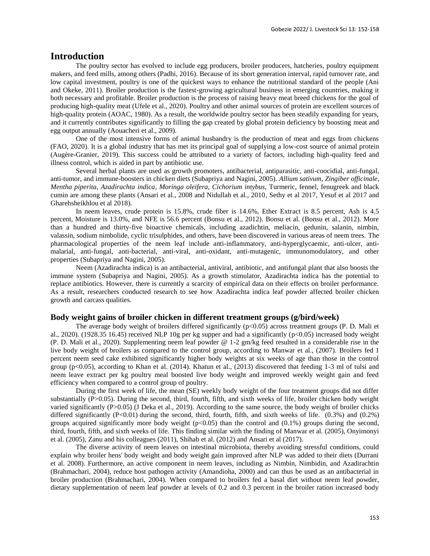# **Introduction**

The poultry sector has evolved to include egg producers, broiler producers, hatcheries, poultry equipment makers, and feed mills, among others (Padhi, 2016). Because of its short generation interval, rapid turnover rate, and low capital investment, poultry is one of the quickest ways to enhance the nutritional standard of the people (Ani and Okeke, 2011). Broiler production is the fastest-growing agricultural business in emerging countries, making it both necessary and profitable. Broiler production is the process of raising heavy meat breed chickens for the goal of producing high-quality meat (Ufele et al., 2020). Poultry and other animal sources of protein are excellent sources of high-quality protein (AOAC, 1980). As a result, the worldwide poultry sector has been steadily expanding for years, and it currently contributes significantly to filling the gap created by global protein deficiency by boosting meat and egg output annually (Aouacheri et al., 2009).

One of the most intensive forms of animal husbandry is the production of meat and eggs from chickens (FAO, 2020). It is a global industry that has met its principal goal of supplying a low-cost source of animal protein (Augère-Granier, 2019). This success could be attributed to a variety of factors, including high-quality feed and illness control, which is aided in part by antibiotic use.

Several herbal plants are used as growth promoters, antibacterial, antiparasitic, anti-coocidial, anti-fungal, anti-tumor, and immune-boosters in chicken diets (Subapriya and Nagini, 2005). *Allium sativum*, *Zingiber officinale*, *Mentha piperita*, *Azadirachta indica*, *Moringa oleifera*, *Cichorium intybus*, Turmeric, fennel, fenugreek and black cumin are among these plants (Ansari et al., 2008 and Nidullah et al., 2010, Sethy et al 2017, Yesuf et al 2017 and Gharehsheikhlou et al 2018).

In neem leaves, crude protein is 15.8%, crude fiber is 14.6%, Ether Extract is 8.5 percent, Ash is 4.5 percent, Moisture is 13.0%, and NFE is 56.6 percent (Bonsu et al., 2012). Bonsu et al. (Bonsu et al., 2012). More than a hundred and thirty-five bioactive chemicals, including azadichtin, meliacin, gedunin, salanin, nimbin, valassin, sodium nimbolide, cyclic trisulphides, and others, have been discovered in various areas of neem trees. The pharmacological properties of the neem leaf include anti-inflammatory, anti-hyperglycaemic, anti-ulcer, antimalarial, anti-fungal, anti-bacterial, anti-viral, anti-oxidant, anti-mutagenic, immunomodulatory, and other properties (Subapriya and Nagini, 2005).

Neem (Azadirachta indica) is an antibacterial, antiviral, antibiotic, and antifungal plant that also boosts the immune system (Subapriya and Nagini, 2005). As a growth stimulator, Azadirachta indica has the potential to replace antibiotics. However, there is currently a scarcity of empirical data on their effects on broiler performance. As a result, researchers conducted research to see how Azadirachta indica leaf powder affected broiler chicken growth and carcass qualities.

### **Body weight gains of broiler chicken in different treatment groups (g/bird/week)**

The average body weight of broilers differed significantly (p<0.05) across treatment groups (P. D. Mali et al., 2020). (1928.35 16.45) received NLP 10g per kg supper and had a significantly ( $p<0.05$ ) increased body weight (P. D. Mali et al., 2020). Supplementing neem leaf powder @ 1-2 gm/kg feed resulted in a considerable rise in the live body weight of broilers as compared to the control group, according to Manwar et al., (2007). Broilers fed 1 percent neem seed cake exhibited significantly higher body weights at six weeks of age than those in the control group (p<0.05), according to Khan et al. (2014). Khatun et al., (2013) discovered that feeding 1-3 ml of tulsi and neem leave extract per kg poultry meal boosted live body weight and improved weekly weight gain and feed efficiency when compared to a control group of poultry.

During the first week of life, the mean (SE) weekly body weight of the four treatment groups did not differ substantially (P>0.05). During the second, third, fourth, fifth, and sixth weeks of life, broiler chicken body weight varied significantly (P>0.05) (J Deka et al., 2019). According to the same source, the body weight of broiler chicks differed significantly  $(P<0.01)$  during the second, third, fourth, fifth, and sixth weeks of life.  $(0.3\%)$  and  $(0.2\%)$ groups acquired significantly more body weight ( $p<0.05$ ) than the control and (0.1%) groups during the second, third, fourth, fifth, and sixth weeks of life. This finding similar with the finding of Manwar et al. (2005), Onyimonyi et al. (2005), Zanu and his colleagues (2011), Shihab et al. (2012) and Ansari et al (2017).

The diverse activity of neem leaves on intestinal microbiota, thereby avoiding stressful conditions, could explain why broiler hens' body weight and body weight gain improved after NLP was added to their diets (Durrani et al. 2008). Furthermore, an active component in neem leaves, including as Nimbin, Nimbidin, and Azadirachtin (Brahmachari, 2004), reduce host pathogen activity (Amandioha, 2000) and can thus be used as an antibacterial in broiler production (Brahmachari, 2004). When compared to broilers fed a basal diet without neem leaf powder, dietary supplementation of neem leaf powder at levels of 0.2 and 0.3 percent in the broiler ration increased body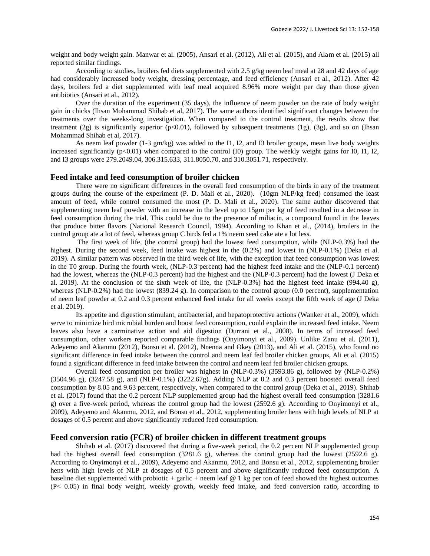weight and body weight gain. Manwar et al. (2005), Ansari et al. (2012), Ali et al. (2015), and Alam et al. (2015) all reported similar findings.

According to studies, broilers fed diets supplemented with 2.5  $g/kg$  neem leaf meal at 28 and 42 days of age had considerably increased body weight, dressing percentage, and feed efficiency (Ansari et al., 2012). After 42 days, broilers fed a diet supplemented with leaf meal acquired 8.96% more weight per day than those given antibiotics (Ansari et al., 2012).

Over the duration of the experiment (35 days), the influence of neem powder on the rate of body weight gain in chicks (Ihsan Mohammad Shihab et al, 2017). The same authors identified significant changes between the treatments over the weeks-long investigation. When compared to the control treatment, the results show that treatment (2g) is significantly superior  $(p<0.01)$ , followed by subsequent treatments (1g), (3g), and so on (Ihsan Mohammad Shihab et al, 2017).

As neem leaf powder (1-3 gm/kg) was added to the I1, I2, and I3 broiler groups, mean live body weights increased significantly  $(p<0.01)$  when compared to the control (I0) group. The weekly weight gains for I0, I1, I2, and I3 groups were 279.2049.04, 306.315.633, 311.8050.70, and 310.3051.71, respectively.

#### **Feed intake and feed consumption of broiler chicken**

There were no significant differences in the overall feed consumption of the birds in any of the treatment groups during the course of the experiment (P. D. Mali et al., 2020). (10gm NLP/kg feed) consumed the least amount of feed, while control consumed the most (P. D. Mali et al., 2020). The same author discovered that supplementing neem leaf powder with an increase in the level up to 15gm per kg of feed resulted in a decrease in feed consumption during the trial. This could be due to the presence of miliacin, a compound found in the leaves that produce bitter flavors (National Research Council, 1994). According to Khan et al., (2014), broilers in the control group ate a lot of feed, whereas group C birds fed a 1% neem seed cake ate a lot less.

The first week of life, (the control group) had the lowest feed consumption, while (NLP-0.3%) had the highest. During the second week, feed intake was highest in the (0.2%) and lowest in (NLP-0.1%) (Deka et al. 2019). A similar pattern was observed in the third week of life, with the exception that feed consumption was lowest in the T0 group. During the fourth week, (NLP-0.3 percent) had the highest feed intake and the (NLP-0.1 percent) had the lowest, whereas the (NLP-0.3 percent) had the highest and the (NLP-0.3 percent) had the lowest (J Deka et al. 2019). At the conclusion of the sixth week of life, the (NLP-0.3%) had the highest feed intake (994.40 g), whereas (NLP-0.2%) had the lowest  $(839.24 \text{ g})$ . In comparison to the control group  $(0.0 \text{ percent})$ , supplementation of neem leaf powder at 0.2 and 0.3 percent enhanced feed intake for all weeks except the fifth week of age (J Deka et al. 2019).

Its appetite and digestion stimulant, antibacterial, and hepatoprotective actions (Wanker et al., 2009), which serve to minimize bird microbial burden and boost feed consumption, could explain the increased feed intake. Neem leaves also have a carminative action and aid digestion (Durrani et al., 2008). In terms of increased feed consumption, other workers reported comparable findings (Onyimonyi et al., 2009). Unlike Zanu et al. (2011), Adeyemo and Akanmu (2012), Bonsu et al. (2012), Nnenna and Okey (2013), and Ali et al. (2015), who found no significant difference in feed intake between the control and neem leaf fed broiler chicken groups, Ali et al. (2015) found a significant difference in feed intake between the control and neem leaf fed broiler chicken groups.

Overall feed consumption per broiler was highest in (NLP-0.3%) (3593.86 g), followed by (NLP-0.2%) (3504.96 g), (3247.58 g), and (NLP-0.1%) (3222.67g). Adding NLP at 0.2 and 0.3 percent boosted overall feed consumption by 8.05 and 9.63 percent, respectively, when compared to the control group (Deka et al., 2019). Shihab et al. (2017) found that the 0.2 percent NLP supplemented group had the highest overall feed consumption (3281.6 g) over a five-week period, whereas the control group had the lowest (2592.6 g). According to Onyimonyi et al., 2009), Adeyemo and Akanmu, 2012, and Bonsu et al., 2012, supplementing broiler hens with high levels of NLP at dosages of 0.5 percent and above significantly reduced feed consumption.

# **Feed conversion ratio (FCR) of broiler chicken in different treatment groups**

Shihab et al. (2017) discovered that during a five-week period, the 0.2 percent NLP supplemented group had the highest overall feed consumption (3281.6 g), whereas the control group had the lowest (2592.6 g). According to Onyimonyi et al., 2009), Adeyemo and Akanmu, 2012, and Bonsu et al., 2012, supplementing broiler hens with high levels of NLP at dosages of 0.5 percent and above significantly reduced feed consumption. A baseline diet supplemented with probiotic + garlic + neem leaf  $@1$  kg per ton of feed showed the highest outcomes (P< 0.05) in final body weight, weekly growth, weekly feed intake, and feed conversion ratio, according to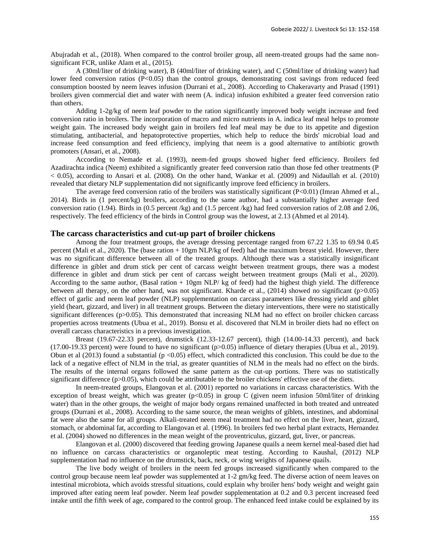Abujradah et al., (2018). When compared to the control broiler group, all neem-treated groups had the same nonsignificant FCR, unlike Alam et al., (2015).

A (30ml/liter of drinking water), B (40ml/liter of drinking water), and C (50ml/liter of drinking water) had lower feed conversion ratios (P<0.05) than the control groups, demonstrating cost savings from reduced feed consumption boosted by neem leaves infusion (Durrani et al., 2008). According to Chakeravarty and Prasad (1991) broilers given commercial diet and water with neem (A. indica) infusion exhibited a greater feed conversion ratio than others.

Adding 1-2g/kg of neem leaf powder to the ration significantly improved body weight increase and feed conversion ratio in broilers. The incorporation of macro and micro nutrients in A. indica leaf meal helps to promote weight gain. The increased body weight gain in broilers fed leaf meal may be due to its appetite and digestion stimulating, antibacterial, and hepatoprotective properties, which help to reduce the birds' microbial load and increase feed consumption and feed efficiency, implying that neem is a good alternative to antibiotic growth promoters (Ansari, et al., 2008).

According to Nemade et al. (1993), neem-fed groups showed higher feed efficiency. Broilers fed Azadirachta indica (Neem) exhibited a significantly greater feed conversion ratio than those fed other treatments (P < 0.05), according to Ansari et al. (2008). On the other hand, Wankar et al. (2009) and Nidaullah et al. (2010) revealed that dietary NLP supplementation did not significantly improve feed efficiency in broilers.

The average feed conversion ratio of the broilers was statistically significant (P<0.01) (Imran Ahmed et al., 2014). Birds in (1 percent/kg) broilers, according to the same author, had a substantially higher average feed conversion ratio (1.94). Birds in (0.5 percent /kg) and (1.5 percent /kg) had feed conversion ratios of 2.08 and 2.06, respectively. The feed efficiency of the birds in Control group was the lowest, at 2.13 (Ahmed et al 2014).

## **The carcass characteristics and cut-up part of broiler chickens**

Among the four treatment groups, the average dressing percentage ranged from 67.22 1.35 to 69.94 0.45 percent (Mali et al., 2020). The (base ration + 10gm NLP/kg of feed) had the maximum breast yield. However, there was no significant difference between all of the treated groups. Although there was a statistically insignificant difference in giblet and drum stick per cent of carcass weight between treatment groups, there was a modest difference in giblet and drum stick per cent of carcass weight between treatment groups (Mali et al., 2020). According to the same author, (Basal ration + 10gm NLP/ kg of feed) had the highest thigh yield. The difference between all therapy, on the other hand, was not significant. Kharde et al., (2014) showed no significant (p>0.05) effect of garlic and neem leaf powder (NLP) supplementation on carcass parameters like dressing yield and giblet yield (heart, gizzard, and liver) in all treatment groups. Between the dietary interventions, there were no statistically significant differences (p>0.05). This demonstrated that increasing NLM had no effect on broiler chicken carcass properties across treatments (Ubua et al., 2019). Bonsu et al. discovered that NLM in broiler diets had no effect on overall carcass characteristics in a previous investigation.

Breast (19.67-22.33 percent), drumstick (12.33-12.67 percent), thigh (14.00-14.33 percent), and back  $(17.00-19.33$  percent) were found to have no significant  $(p>0.05)$  influence of dietary therapies (Ubua et al., 2019). Obun et al (2013) found a substantial ( $p < 0.05$ ) effect, which contradicted this conclusion. This could be due to the lack of a negative effect of NLM in the trial, as greater quantities of NLM in the meals had no effect on the birds. The results of the internal organs followed the same pattern as the cut-up portions. There was no statistically significant difference  $(p>0.05)$ , which could be attributable to the broiler chickens' effective use of the diets.

In neem-treated groups, Elangovan et al. (2001) reported no variations in carcass characteristics. With the exception of breast weight, which was greater ( $p<0.05$ ) in group C (given neem infusion 50ml/liter of drinking water) than in the other groups, the weight of major body organs remained unaffected in both treated and untreated groups (Durrani et al., 2008). According to the same source, the mean weights of giblets, intestines, and abdominal fat were also the same for all groups. Alkali-treated neem meal treatment had no effect on the liver, heart, gizzard, stomach, or abdominal fat, according to Elangovan et al. (1996). In broilers fed two herbal plant extracts, Hernandez et al. (2004) showed no differences in the mean weight of the proventriculus, gizzard, gut, liver, or pancreas.

Elangovan et al. (2000) discovered that feeding growing Japanese quails a neem kernel meal-based diet had no influence on carcass characteristics or organoleptic meat testing. According to Kaushal, (2012) NLP supplementation had no influence on the drumstick, back, neck, or wing weights of Japanese quails.

The live body weight of broilers in the neem fed groups increased significantly when compared to the control group because neem leaf powder was supplemented at 1-2 gm/kg feed. The diverse action of neem leaves on intestinal microbiota, which avoids stressful situations, could explain why broiler hens' body weight and weight gain improved after eating neem leaf powder. Neem leaf powder supplementation at 0.2 and 0.3 percent increased feed intake until the fifth week of age, compared to the control group. The enhanced feed intake could be explained by its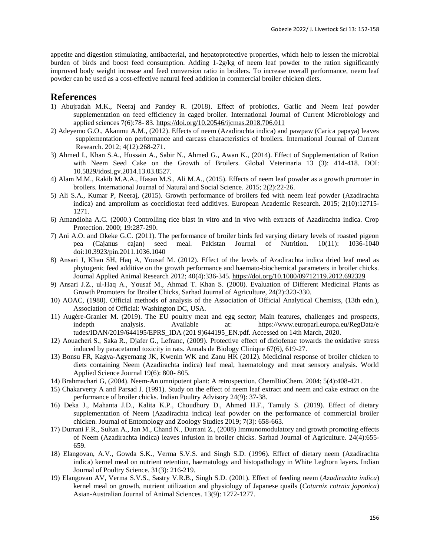appetite and digestion stimulating, antibacterial, and hepatoprotective properties, which help to lessen the microbial burden of birds and boost feed consumption. Adding 1-2g/kg of neem leaf powder to the ration significantly improved body weight increase and feed conversion ratio in broilers. To increase overall performance, neem leaf powder can be used as a cost-effective natural feed addition in commercial broiler chicken diets.

# **References**

- 1) Abujradah M.K., Neeraj and Pandey R. (2018). Effect of probiotics, Garlic and Neem leaf powder supplementation on feed efficiency in caged broiler. International Journal of Current Microbiology and applied sciences 7(6):78- 83. <https://doi.org/10.20546/ijcmas.2018.706.011>
- 2) Adeyemo G.O., Akanmu A.M., (2012). Effects of neem (Azadirachta indica) and pawpaw (Carica papaya) leaves supplementation on performance and carcass characteristics of broilers. International Journal of Current Research. 2012; 4(12):268-271.
- 3) Ahmed I., Khan S.A., Hussain A., Sabir N., Ahmed G., Awan K., (2014). Effect of Supplementation of Ration with Neem Seed Cake on the Growth of Broilers. Global Veterinaria 13 (3): 414-418. DOI: 10.5829/idosi.gv.2014.13.03.8527.
- 4) Alam M.M., Rakib M.A.A., Hasan M.S., Ali M.A., (2015). Effects of neem leaf powder as a growth promoter in broilers. International Journal of Natural and Social Science. 2015; 2(2):22-26.
- 5) Ali S.A., Kumar P, Neeraj, (2015). Growth performance of broilers fed with neem leaf powder (Azadirachta indica) and amprolium as coccidiostat feed additives. European Academic Research. 2015; 2(10):12715- 1271.
- 6) Amandioha A.C. (2000.) Controlling rice blast in vitro and in vivo with extracts of Azadirachta indica. Crop Protection. 2000; 19:287-290.
- 7) Ani A.O. and Okeke G.C. (2011). The performance of broiler birds fed varying dietary levels of roasted pigeon pea (Cajanus cajan) seed meal. Pakistan Journal of Nutrition. 10(11): 1036-1040 doi:10.3923/pin.2011.1036.1040
- 8) Ansari J, Khan SH, Haq A, Yousaf M. (2012). Effect of the levels of Azadirachta indica dried leaf meal as phytogenic feed additive on the growth performance and haemato-biochemical parameters in broiler chicks. Journal Applied Animal Research 2012; 40(4):336-345. <https://doi.org/10.1080/09712119.2012.692329>
- 9) Ansari J.Z., ul-Haq A., Yousaf M., Ahmad T. Khan S. (2008). Evaluation of Different Medicinal Plants as Growth Promoters for Broiler Chicks, Sarhad Journal of Agriculture, 24(2):323-330.
- 10) AOAC, (1980). Official methods of analysis of the Association of Official Analytical Chemists, (13th edn.), Association of Official: Washington DC, USA.
- 11) Augère-Granier M. (2019). The EU poultry meat and egg sector; Main features, challenges and prospects, indepth analysis. Available at: https://www.europarl.europa.eu/RegData/e tudes/IDAN/2019/644195/EPRS\_IDA (201 9)644195\_EN.pdf. Accessed on 14th March, 2020.
- 12) [Aouacheri](https://www.jle.com/en/recherche/recherche.phtml?dans=auteur&texte=W+Aouacheri) [S., Saka](https://www.jle.com/en/recherche/recherche.phtml?dans=auteur&texte=S+Saka) [R., Djafer](https://www.jle.com/en/recherche/recherche.phtml?dans=auteur&texte=R+Djafer) [G., Lefranc,](https://www.jle.com/en/recherche/recherche.phtml?dans=auteur&texte=G+Lefranc+) (2009). Protective effect of diclofenac towards the oxidative stress induced by paracetamol toxicity in rats. Annals de Biology Clinique 67(6), 619-27.
- 13) Bonsu FR, Kagya-Agyemang JK, Kwenin WK and Zanu HK (2012). Medicinal response of broiler chicken to diets containing Neem (Azadirachta indica) leaf meal, haematology and meat sensory analysis. World Applied Science Journal 19(6): 800- 805.
- 14) Brahmachari G, (2004). Neem-An omnipotent plant: A retrospection. ChemBioChem. 2004; 5(4):408-421.
- 15) Chakarverty A and Parsad J. (1991). Study on the effect of neem leaf extract and neem and cake extract on the performance of broiler chicks. Indian Poultry Advisory 24(9): 37-38.
- 16) Deka J., Mahanta J.D., Kalita K.P., Choudhury D., Ahmed H.F., Tamuly S. (2019). Effect of dietary supplementation of Neem (Azadirachta indica) leaf powder on the performance of commercial broiler chicken. Journal of Entomology and Zoology Studies 2019; 7(3): 658-663.
- 17) Durrani F.R., Sultan A., Jan M., Chand N., Durrani Z., (2008) Immunomodulatory and growth promoting effects of Neem (Azadirachta indica) leaves infusion in broiler chicks. Sarhad Journal of Agriculture. 24(4):655- 659.
- 18) Elangovan, A.V., Gowda S.K., Verma S.V.S. and Singh S.D. (1996). Effect of dietary neem (Azadirachta indica) kernel meal on nutrient retention, haematology and histopathology in White Leghorn layers. Indian Journal of Poultry Science. 31(3): 216-219.
- 19) Elangovan AV, Verma S.V.S., Sastry V.R.B., Singh S.D. (2001). Effect of feeding neem (*Azadirachta indica*) kernel meal on growth, nutrient utilization and physiology of Japanese quails (*Coturnix cotrnix japonica*) Asian-Australian Journal of Animal Sciences. 13(9): 1272-1277.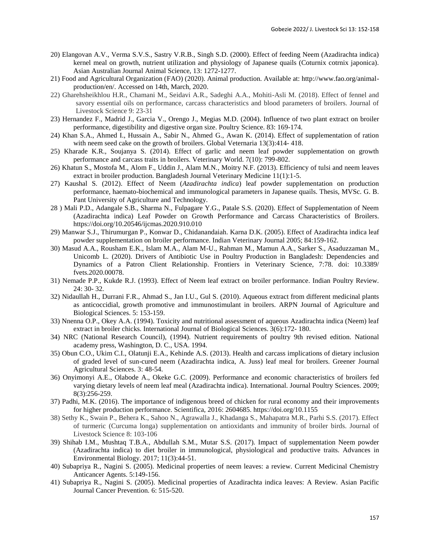- 20) Elangovan A.V., Verma S.V.S., Sastry V.R.B., Singh S.D. (2000). Effect of feeding Neem (Azadirachta indica) kernel meal on growth, nutrient utilization and physiology of Japanese quails (Coturnix cotrnix japonica). Asian Australian Journal Animal Science, 13: 1272-1277.
- 21) Food and Agricultural Organization (FAO) (2020). Animal production. Available at: http://www.fao.org/animalproduction/en/. Accessed on 14th, March, 2020.
- 22) Gharehsheikhlou H.R., Chamani M., Seidavi A.R., Sadeghi A.A., Mohiti-Asli M. (2018). Effect of fennel and savory essential oils on performance, carcass characteristics and blood parameters of broilers. Journal of Livestock Science 9: 23-31
- 23) Hernandez F., Madrid J., Garcia V., Orengo J., Megias M.D. (2004). Influence of two plant extract on broiler performance, digestibility and digestive organ size. Poultry Science. 83: 169-174.
- 24) Khan S.A., Ahmed I., Hussain A., Sabir N., Ahmed G., Awan K. (2014). Effect of supplementation of ration with neem seed cake on the growth of broilers. Global Veternaria 13(3):414-418.
- 25) Kharade K.R., Soujanya S. (2014). Effect of garlic and neem leaf powder supplementation on growth performance and carcass traits in broilers. Veterinary World. 7(10): 799-802.
- 26) Khatun S., Mostofa M., Alom F., Uddin J., Alam M.N., Moitry N.F. (2013). Efficiency of tulsi and neem leaves extract in broiler production. Bangladesh Journal Veterinary Medicine 11(1):1-5.
- 27) Kaushal S. (2012). Effect of Neem (*Azadirachta indica*) leaf powder supplementation on production performance, haemato-biochemical and immunological parameters in Japanese quails. Thesis, MVSc. G. B. Pant University of Agriculture and Technology.
- 28 ) Mali P.D., Adangale S.B., Sharma N., Fulpagare Y.G., Patale S.S. (2020). Effect of Supplementation of Neem (Azadirachta indica) Leaf Powder on Growth Performance and Carcass Characteristics of Broilers. https://doi.org/10.20546/ijcmas.2020.910.010
- 29) Manwar S.J., Thirumurgan P., Konwar D., Chidanandaiah. Karna D.K. (2005). Effect of Azadirachta indica leaf powder supplementation on broiler performance. Indian Veterinary Journal 2005; 84:159-162.
- 30) Masud A.A., Rousham E.K., Islam M.A., Alam M-U., Rahman M., Mamun A.A., Sarker S., Asaduzzaman M., Unicomb L. (2020). Drivers of Antibiotic Use in Poultry Production in Bangladesh: Dependencies and Dynamics of a Patron Client Relationship. Frontiers in Veterinary Science, 7:78. doi: 10.3389/ fvets.2020.00078.
- 31) Nemade P.P., Kukde R.J. (1993). Effect of Neem leaf extract on broiler performance. Indian Poultry Review. 24: 30- 32.
- 32) Nidaullah H., Durrani F.R., Ahmad S., Jan I.U., Gul S. (2010). Aqueous extract from different medicinal plants as anticoccidial, growth promotive and immunostimulant in broilers. ARPN Journal of Agriculture and Biological Sciences. 5: 153-159.
- 33) Nnenna O.P., Okey A.A. (1994). Toxicity and nutritional assessment of aqueous Azadirachta indica (Neem) leaf extract in broiler chicks. International Journal of Biological Sciences. 3(6):172- 180.
- 34) NRC (National Research Council), (1994). Nutrient requirements of poultry 9th revised edition. National academy press, Washington, D. C., USA. 1994.
- 35) Obun C.O., Ukim C.I., Olatunji E.A., Kehinde A.S. (2013). Health and carcass implications of dietary inclusion of graded level of sun-cured neem (Azadirachta indica, A. Juss) leaf meal for broilers. Greener Journal Agricultural Sciences. 3: 48-54.
- 36) Onyimonyi A.E., Olabode A., Okeke G.C. (2009). Performance and economic characteristics of broilers fed varying dietary levels of neem leaf meal (Azadirachta indica). International. Journal Poultry Sciences. 2009; 8(3):256-259.
- 37) Padhi, M.K. (2016). The importance of indigenous breed of chicken for rural economy and their improvements for higher production performance. Scientifica, 2016: 2604685. https://doi.org/10.1155
- 38) Sethy K., Swain P., Behera K., Sahoo N., Agrawalla J., Khadanga S., Mahapatra M.R., Parhi S.S. (2017). Effect of turmeric (Curcuma longa) supplementation on antioxidants and immunity of broiler birds. Journal of Livestock Science 8: 103-106
- 39) Shihab I.M., Mushtaq T.B.A., Abdullah S.M., Mutar S.S. (2017). Impact of supplementation Neem powder (Azadirachta indica) to diet broiler in immunological, physiological and productive traits. Advances in Environmental Biology. 2017; 11(3):44-51.
- 40) Subapriya R., Nagini S. (2005). Medicinal properties of neem leaves: a review. Current Medicinal Chemistry Anticancer Agents. 5:149-156.
- 41) Subapriya R., Nagini S. (2005). Medicinal properties of Azadirachta indica leaves: A Review. Asian Pacific Journal Cancer Prevention. 6: 515-520.